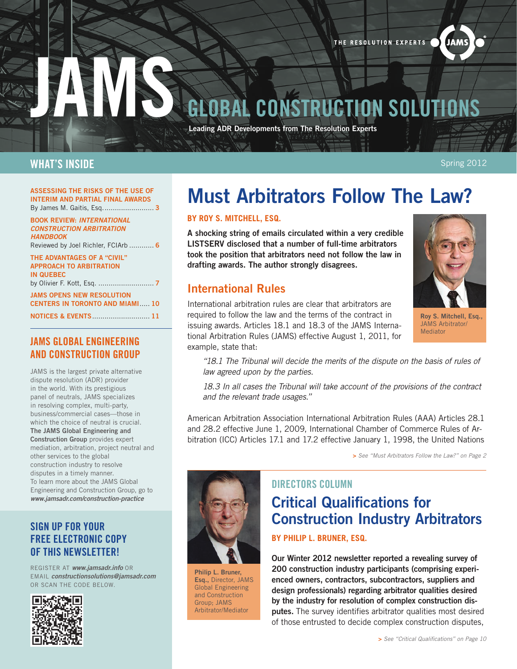THE RESOLUTION EXPERTS

# **CONSTRUCTION SOLUTIONS**

Leading ADR Developments from The Resolution Experts

#### WHAT'S INSIDE

Spring 2012

**JAMS** 

#### Assessing the Risks of the Use of Interim and Partial Final Awards By James M. Gaitis, Esq......................... [3](#page-2-0)

Book Review: *International Construction Arbitration Handbook* Reviewed by Joel Richler, FCIArb ............ [6](#page-5-0) The Advantages of a "Civil"

Approach to Arbitration in Quebec by Olivier F. Kott, Esq. ........................... [7](#page-6-0)

JAms opens new resolution centers in toronto AND MIAMI..... [10](#page-9-0)

Notices & Events............................ [11](#page-10-0)

#### JAMS GLOBAL ENGINEERING AND CONSTRUCTION GROUP

JAMS is the largest private alternative dispute resolution (ADR) provider in the world. With its prestigious panel of neutrals, JAMS specializes in resolving complex, multi-party, business/commercial cases—those in which the choice of neutral is crucial. The JAMS Global Engineering and Construction Group provides expert mediation, arbitration, project neutral and other services to the global construction industry to resolve disputes in a timely manner. To learn more about the JAMS Global Engineering and Construction Group, go to *www.jamsadr.com/construction-practice*

#### SIGN UP FOR YOUR FREE ELECTRONIC COPY OF THIS NEWSLETTER!

REGISTER AT *www.jamsadr.info* OR EMAIL *constructionsolutions@jamsadr.com* OR SCAN THE CODE BELOW.



# Must Arbitrators Follow The Law?

#### **by Roy S. Mitchell, Esq.**

A shocking string of emails circulated within a very credible LISTS ERV disclosed that a number of full-time arbitrators took the position that arbitrators need not follow the law in drafting awards. The author strongly disagrees.

## International Rules

International arbitration rules are clear that arbitrators are required to follow the law and the terms of the contract in issuing awards. Articles 18.1 and 18.3 of the JAMS International Arbitration Rules (JAMS) effective August 1, 2011, for example, state that:



Roy S. Mitchell, Esq., JAMS Arbitrator/ **Mediator** 

*"18.1 The Tribunal will decide the merits of the dispute on the basis of rules of law agreed upon by the parties.* 

*18.3 In all cases the Tribunal will take account of the provisions of the contract and the relevant trade usages."*

American Arbitration Association International Arbitration Rules (AAA) Articles 28.1 and 28.2 effective June 1, 2009, International Chamber of Commerce Rules of Arbitration (ICC) Articles 17.1 and 17.2 effective January 1, 1998, the United Nations

> *See "Must Arbitrators Follow the Law?" on [Page 2](#page-1-0)*

# Directors Column Critical Qualifications for Construction Industry Arbitrators

**BY PHILIP L. BRUNER, ESQ.** 

Our Winter 2012 newsletter reported a revealing survey of 200 construction industry participants (comprising experienced owners, contractors, subcontractors, suppliers and design professionals) regarding arbitrator qualities desired by the industry for resolution of complex construction dis**putes.** The survey identifies arbitrator qualities most desired of those entrusted to decide complex construction disputes,



Philip L. Bruner, Esq., Director, JAMS Global Engineering and Construction Group; JAMS Arbitrator/Mediator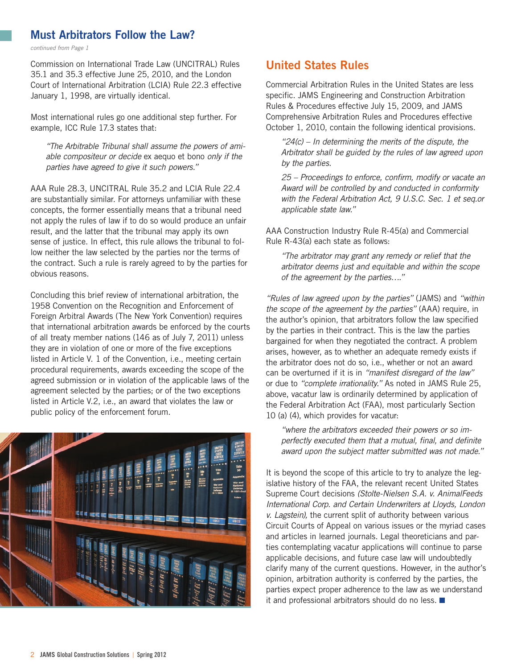#### <span id="page-1-0"></span>Must Arbitrators Follow the Law?

*continued from Page 1*

Commission on International Trade Law (UNCITRAL) Rules 35.1 and 35.3 effective June 25, 2010, and the London Court of International Arbitration (LCIA) Rule 22.3 effective January 1, 1998, are virtually identical.

Most international rules go one additional step further. For example, ICC Rule 17.3 states that:

*"The Arbitrable Tribunal shall assume the powers of amiable compositeur or decide* ex aequo et bono *only if the parties have agreed to give it such powers."*

AAA Rule 28.3, UNCITRAL Rule 35.2 and LCIA Rule 22.4 are substantially similar. For attorneys unfamiliar with these concepts, the former essentially means that a tribunal need not apply the rules of law if to do so would produce an unfair result, and the latter that the tribunal may apply its own sense of justice. In effect, this rule allows the tribunal to follow neither the law selected by the parties nor the terms of the contract. Such a rule is rarely agreed to by the parties for obvious reasons.

Concluding this brief review of international arbitration, the 1958 Convention on the Recognition and Enforcement of Foreign Arbitral Awards (The New York Convention) requires that international arbitration awards be enforced by the courts of all treaty member nations (146 as of July 7, 2011) unless they are in violation of one or more of the five exceptions listed in Article V. 1 of the Convention, i.e., meeting certain procedural requirements, awards exceeding the scope of the agreed submission or in violation of the applicable laws of the agreement selected by the parties; or of the two exceptions listed in Article V.2, i.e., an award that violates the law or public policy of the enforcement forum.



#### United States Rules

Commercial Arbitration Rules in the United States are less specific. JAMS Engineering and Construction Arbitration Rules & Procedures effective July 15, 2009, and JAMS Comprehensive Arbitration Rules and Procedures effective October 1, 2010, contain the following identical provisions.

*"24(c) – In determining the merits of the dispute, the Arbitrator shall be guided by the rules of law agreed upon by the parties.*

*25 – Proceedings to enforce, confirm, modify or vacate an Award will be controlled by and conducted in conformity with the Federal Arbitration Act, 9 U.S.C. Sec. 1 et seq.or applicable state law."*

AAA Construction Industry Rule R-45(a) and Commercial Rule R-43(a) each state as follows:

*"The arbitrator may grant any remedy or relief that the arbitrator deems just and equitable and within the scope of the agreement by the parties…."* 

*"Rules of law agreed upon by the parties"* (JAMS) and *"within the scope of the agreement by the parties"* (AAA) require, in the author's opinion, that arbitrators follow the law specified by the parties in their contract. This is the law the parties bargained for when they negotiated the contract. A problem arises, however, as to whether an adequate remedy exists if the arbitrator does not do so, i.e., whether or not an award can be overturned if it is in *"manifest disregard of the law"* or due to *"complete irrationality."* As noted in JAMS Rule 25, above, vacatur law is ordinarily determined by application of the Federal Arbitration Act (FAA), most particularly Section 10 (a) (4), which provides for vacatur:

*"where the arbitrators exceeded their powers or so imperfectly executed them that a mutual, final, and definite award upon the subject matter submitted was not made."*

It is beyond the scope of this article to try to analyze the legislative history of the FAA, the relevant recent United States Supreme Court decisions *(Stolte-Nielsen S.A. v. AnimalFeeds International Corp. and Certain Underwriters at Lloyds, London v. Lagstein),* the current split of authority between various Circuit Courts of Appeal on various issues or the myriad cases and articles in learned journals. Legal theoreticians and parties contemplating vacatur applications will continue to parse applicable decisions, and future case law will undoubtedly clarify many of the current questions. However, in the author's opinion, arbitration authority is conferred by the parties, the parties expect proper adherence to the law as we understand it and professional arbitrators should do no less.  $\blacksquare$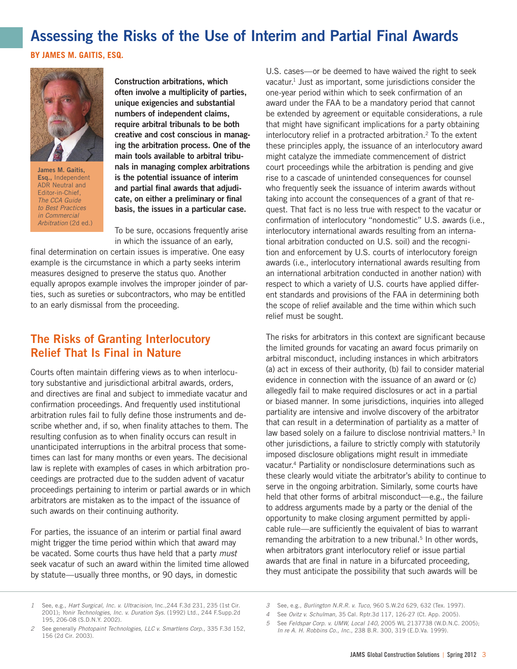## <span id="page-2-0"></span>Assessing the Risks of the Use of Interim and Partial Final Awards

**BY JAMES M. GAITIS, ESQ.** 



James M. Gaitis, Esq., Independent ADR Neutral and Editor-in-Chief, *The CCA Guide to Best Practices in Commercial Arbitration* (2d ed.)

Construction arbitrations, which often involve a multiplicity of parties, unique exigencies and substantial numbers of independent claims, require arbitral tribunals to be both creative and cost conscious in managing the arbitration process. One of the main tools available to arbitral tribunals in managing complex arbitrations is the potential issuance of interim and partial final awards that adjudicate, on either a preliminary or final basis, the issues in a particular case.

To be sure, occasions frequently arise in which the issuance of an early,

final determination on certain issues is imperative. One easy example is the circumstance in which a party seeks interim measures designed to preserve the status quo. Another equally apropos example involves the improper joinder of parties, such as sureties or subcontractors, who may be entitled to an early dismissal from the proceeding.

### The Risks of Granting Interlocutory Relief That Is Final in Nature

Courts often maintain differing views as to when interlocutory substantive and jurisdictional arbitral awards, orders, and directives are final and subject to immediate vacatur and confirmation proceedings. And frequently used institutional arbitration rules fail to fully define those instruments and describe whether and, if so, when finality attaches to them. The resulting confusion as to when finality occurs can result in unanticipated interruptions in the arbitral process that sometimes can last for many months or even years. The decisional law is replete with examples of cases in which arbitration proceedings are protracted due to the sudden advent of vacatur proceedings pertaining to interim or partial awards or in which arbitrators are mistaken as to the impact of the issuance of such awards on their continuing authority.

For parties, the issuance of an interim or partial final award might trigger the time period within which that award may be vacated. Some courts thus have held that a party *must* seek vacatur of such an award within the limited time allowed by statute—usually three months, or 90 days, in domestic

U.S. cases—or be deemed to have waived the right to seek vacatur.<sup>1</sup> Just as important, some jurisdictions consider the one-year period within which to seek confirmation of an award under the FAA to be a mandatory period that cannot be extended by agreement or equitable considerations, a rule that might have significant implications for a party obtaining interlocutory relief in a protracted arbitration.<sup>2</sup> To the extent these principles apply, the issuance of an interlocutory award might catalyze the immediate commencement of district court proceedings while the arbitration is pending and give rise to a cascade of unintended consequences for counsel who frequently seek the issuance of interim awards without taking into account the consequences of a grant of that request. That fact is no less true with respect to the vacatur or confirmation of interlocutory "nondomestic" U.S. awards (i.e., interlocutory international awards resulting from an international arbitration conducted on U.S. soil) and the recognition and enforcement by U.S. courts of interlocutory foreign awards (i.e., interlocutory international awards resulting from an international arbitration conducted in another nation) with respect to which a variety of U.S. courts have applied different standards and provisions of the FAA in determining both the scope of relief available and the time within which such relief must be sought.

The risks for arbitrators in this context are significant because the limited grounds for vacating an award focus primarily on arbitral misconduct, including instances in which arbitrators (a) act in excess of their authority, (b) fail to consider material evidence in connection with the issuance of an award or (c) allegedly fail to make required disclosures or act in a partial or biased manner. In some jurisdictions, inquiries into alleged partiality are intensive and involve discovery of the arbitrator that can result in a determination of partiality as a matter of law based solely on a failure to disclose nontrivial matters.<sup>3</sup> In other jurisdictions, a failure to strictly comply with statutorily imposed disclosure obligations might result in immediate vacatur.4 Partiality or nondisclosure determinations such as these clearly would vitiate the arbitrator's ability to continue to serve in the ongoing arbitration. Similarly, some courts have held that other forms of arbitral misconduct—e.g., the failure to address arguments made by a party or the denial of the opportunity to make closing argument permitted by applicable rule—are sufficiently the equivalent of bias to warrant remanding the arbitration to a new tribunal.<sup>5</sup> In other words, when arbitrators grant interlocutory relief or issue partial awards that are final in nature in a bifurcated proceeding, they must anticipate the possibility that such awards will be

*<sup>1</sup>* See, e.g., *Hart Surgical, Inc. v. Ultracision,* Inc.,244 F.3d 231, 235 (1st Cir. 2001); *Yonir Technologies, Inc. v. Duration Sys.* (1992) Ltd., 244 F.Supp.2d 195, 206-08 (S.D.N.Y. 2002).

*<sup>2</sup>* See generally *Photopaint Technologies, LLC v. Smartlens Corp.,* 335 F.3d 152, 156 (2d Cir. 2003).

*<sup>3</sup>* See, e.g., *Burlington N.R.R. v. Tuco,* 960 S.W.2d 629, 632 (Tex. 1997).

*<sup>4</sup>* See *Ovitz v. Schulman,* 35 Cal. Rptr.3d 117, 126-27 (Ct. App. 2005).

*<sup>5</sup>* See *Feldspar Corp. v. UMW, Local 140,* 2005 WL 2137738 (W.D.N.C. 2005); *In re A. H. Robbins Co., Inc.,* 238 B.R. 300, 319 (E.D.Va. 1999).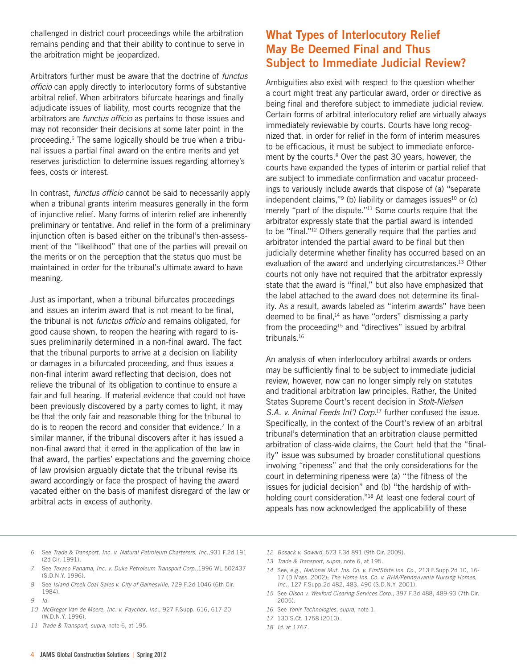challenged in district court proceedings while the arbitration remains pending and that their ability to continue to serve in the arbitration might be jeopardized.

Arbitrators further must be aware that the doctrine of *functus officio* can apply directly to interlocutory forms of substantive arbitral relief. When arbitrators bifurcate hearings and finally adjudicate issues of liability, most courts recognize that the arbitrators are *functus officio* as pertains to those issues and may not reconsider their decisions at some later point in the proceeding.6 The same logically should be true when a tribunal issues a partial final award on the entire merits and yet reserves jurisdiction to determine issues regarding attorney's fees, costs or interest.

In contrast, *functus officio* cannot be said to necessarily apply when a tribunal grants interim measures generally in the form of injunctive relief. Many forms of interim relief are inherently preliminary or tentative. And relief in the form of a preliminary injunction often is based either on the tribunal's then-assessment of the "likelihood" that one of the parties will prevail on the merits or on the perception that the status quo must be maintained in order for the tribunal's ultimate award to have meaning.

Just as important, when a tribunal bifurcates proceedings and issues an interim award that is not meant to be final, the tribunal is not *functus officio* and remains obligated, for good cause shown, to reopen the hearing with regard to issues preliminarily determined in a non-final award. The fact that the tribunal purports to arrive at a decision on liability or damages in a bifurcated proceeding, and thus issues a non-final interim award reflecting that decision, does not relieve the tribunal of its obligation to continue to ensure a fair and full hearing. If material evidence that could not have been previously discovered by a party comes to light, it may be that the only fair and reasonable thing for the tribunal to do is to reopen the record and consider that evidence.<sup>7</sup> In a similar manner, if the tribunal discovers after it has issued a non-final award that it erred in the application of the law in that award, the parties' expectations and the governing choice of law provision arguably dictate that the tribunal revise its award accordingly or face the prospect of having the award vacated either on the basis of manifest disregard of the law or arbitral acts in excess of authority.

## What Types of Interlocutory Relief May Be Deemed Final and Thus Subject to Immediate Judicial Review?

Ambiguities also exist with respect to the question whether a court might treat any particular award, order or directive as being final and therefore subject to immediate judicial review. Certain forms of arbitral interlocutory relief are virtually always immediately reviewable by courts. Courts have long recognized that, in order for relief in the form of interim measures to be efficacious, it must be subject to immediate enforcement by the courts.<sup>8</sup> Over the past 30 years, however, the courts have expanded the types of interim or partial relief that are subject to immediate confirmation and vacatur proceedings to variously include awards that dispose of (a) "separate independent claims," $9$  (b) liability or damages issues $10$  or (c) merely "part of the dispute."11 Some courts require that the arbitrator expressly state that the partial award is intended to be "final."12 Others generally require that the parties and arbitrator intended the partial award to be final but then judicially determine whether finality has occurred based on an evaluation of the award and underlying circumstances.13 Other courts not only have not required that the arbitrator expressly state that the award is "final," but also have emphasized that the label attached to the award does not determine its finality. As a result, awards labeled as "interim awards" have been deemed to be final,<sup>14</sup> as have "orders" dismissing a party from the proceeding<sup>15</sup> and "directives" issued by arbitral tribunals.16

An analysis of when interlocutory arbitral awards or orders may be sufficiently final to be subject to immediate judicial review, however, now can no longer simply rely on statutes and traditional arbitration law principles. Rather, the United States Supreme Court's recent decision in *Stolt-Nielsen S.A. v. Animal Feeds Int'l Corp.*17 further confused the issue. Specifically, in the context of the Court's review of an arbitral tribunal's determination that an arbitration clause permitted arbitration of class-wide claims, the Court held that the "finality" issue was subsumed by broader constitutional questions involving "ripeness" and that the only considerations for the court in determining ripeness were (a) "the fitness of the issues for judicial decision" and (b) "the hardship of withholding court consideration."18 At least one federal court of appeals has now acknowledged the applicability of these

- *6* See *Trade & Transport, Inc. v. Natural Petroleum Charterers, Inc.,*931 F.2d 191 (2d Cir. 1991).
- *7* See *Texaco Panama, Inc. v. Duke Petroleum Transport Corp.,*1996 WL 502437 (S.D.N.Y. 1996).
- *8* See *Island Creek Coal Sales v. City of Gainesville,* 729 F.2d 1046 (6th Cir. 1984).
- *9 Id.*
- *10 McGregor Van de Moere, Inc. v. Paychex, Inc.,* 927 F.Supp. 616, 617-20 (W.D.N.Y. 1996).
- *11 Trade & Transport, supra,* note 6, at 195.
- *12 Bosack v. Soward,* 573 F.3d 891 (9th Cir. 2009).
- *13 Trade & Transport, supra,* note 6, at 195.
- *14* See, e.g., *National Mut. Ins. Co. v. FirstState Ins. Co.,* 213 F.Supp.2d 10, 16- 17 (D Mass. 2002); *The Home Ins. Co. v. RHA/Pennsylvania Nursing Homes, Inc.,* 127 F.Supp.2d 482, 483, 490 (S.D.N.Y. 2001).
- *15* See *Olson v. Wexford Clearing Services Corp.,* 397 F.3d 488, 489-93 (7th Cir. 2005).
- *16* See *Yonir Technologies, supra,* note 1.
- *17* 130 S.Ct. 1758 (2010).
- *18 Id.* at 1767.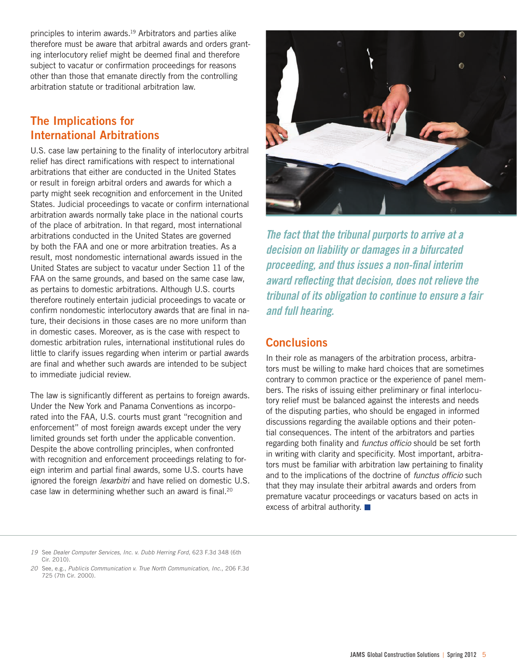principles to interim awards.<sup>19</sup> Arbitrators and parties alike therefore must be aware that arbitral awards and orders granting interlocutory relief might be deemed final and therefore subject to vacatur or confirmation proceedings for reasons other than those that emanate directly from the controlling arbitration statute or traditional arbitration law.

## The Implications for International Arbitrations

U.S. case law pertaining to the finality of interlocutory arbitral relief has direct ramifications with respect to international arbitrations that either are conducted in the United States or result in foreign arbitral orders and awards for which a party might seek recognition and enforcement in the United States. Judicial proceedings to vacate or confirm international arbitration awards normally take place in the national courts of the place of arbitration. In that regard, most international arbitrations conducted in the United States are governed by both the FAA and one or more arbitration treaties. As a result, most nondomestic international awards issued in the United States are subject to vacatur under Section 11 of the FAA on the same grounds, and based on the same case law, as pertains to domestic arbitrations. Although U.S. courts therefore routinely entertain judicial proceedings to vacate or confirm nondomestic interlocutory awards that are final in nature, their decisions in those cases are no more uniform than in domestic cases. Moreover, as is the case with respect to domestic arbitration rules, international institutional rules do little to clarify issues regarding when interim or partial awards are final and whether such awards are intended to be subject to immediate judicial review.

The law is significantly different as pertains to foreign awards. Under the New York and Panama Conventions as incorporated into the FAA, U.S. courts must grant "recognition and enforcement" of most foreign awards except under the very limited grounds set forth under the applicable convention. Despite the above controlling principles, when confronted with recognition and enforcement proceedings relating to foreign interim and partial final awards, some U.S. courts have ignored the foreign *lexarbitri* and have relied on domestic U.S. case law in determining whether such an award is final.<sup>20</sup>



*The fact that the tribunal purports to arrive at a decision on liability or damages in a bifurcated proceeding, and thus issues a non-final interim award reflecting that decision, does not relieve the tribunal of its obligation to continue to ensure a fair and full hearing.*

## **Conclusions**

In their role as managers of the arbitration process, arbitrators must be willing to make hard choices that are sometimes contrary to common practice or the experience of panel members. The risks of issuing either preliminary or final interlocutory relief must be balanced against the interests and needs of the disputing parties, who should be engaged in informed discussions regarding the available options and their potential consequences. The intent of the arbitrators and parties regarding both finality and *functus officio* should be set forth in writing with clarity and specificity. Most important, arbitrators must be familiar with arbitration law pertaining to finality and to the implications of the doctrine of *functus officio* such that they may insulate their arbitral awards and orders from premature vacatur proceedings or vacaturs based on acts in excess of arbitral authority.

*20* See, e.g., *Publicis Communication v. True North Communication, Inc.,* 206 F.3d 725 (7th Cir. 2000).

*<sup>19</sup>* See *Dealer Computer Services, Inc. v. Dubb Herring Ford,* 623 F.3d 348 (6th Cir. 2010).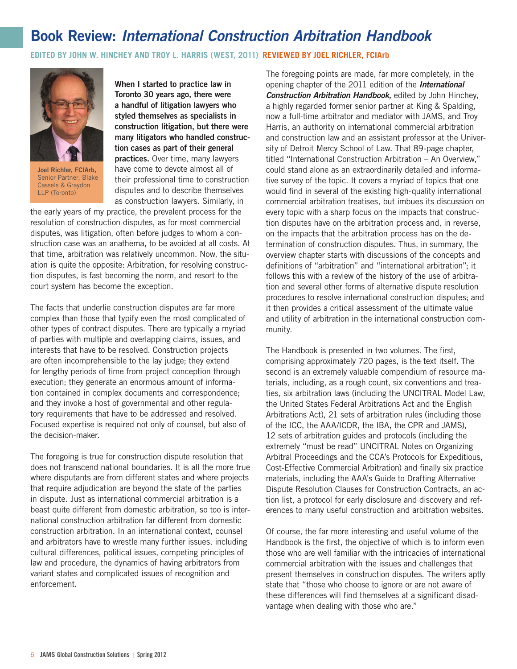# <span id="page-5-0"></span>Book Review: *International Construction Arbitration Handbook*

**EDITED BY JOHN W. HINCHEY AND TROY L. HARRIS (WEST, 2011) <b>REVIEWED BY JOEL RICHLER, FCIArb** 



Joel Richler, FCIArb, Senior Partner, Blake Cassels & Graydon LLP (Toronto)

When I started to practice law in Toronto 30 years ago, there were a handful of litigation lawyers who styled themselves as specialists in construction litigation, but there were many litigators who handled construction cases as part of their general practices. Over time, many lawyers have come to devote almost all of their professional time to construction disputes and to describe themselves as construction lawyers. Similarly, in

the early years of my practice, the prevalent process for the resolution of construction disputes, as for most commercial disputes, was litigation, often before judges to whom a construction case was an anathema, to be avoided at all costs. At that time, arbitration was relatively uncommon. Now, the situation is quite the opposite: Arbitration, for resolving construction disputes, is fast becoming the norm, and resort to the court system has become the exception.

The facts that underlie construction disputes are far more complex than those that typify even the most complicated of other types of contract disputes. There are typically a myriad of parties with multiple and overlapping claims, issues, and interests that have to be resolved. Construction projects are often incomprehensible to the lay judge; they extend for lengthy periods of time from project conception through execution; they generate an enormous amount of information contained in complex documents and correspondence; and they invoke a host of governmental and other regulatory requirements that have to be addressed and resolved. Focused expertise is required not only of counsel, but also of the decision-maker.

The foregoing is true for construction dispute resolution that does not transcend national boundaries. It is all the more true where disputants are from different states and where projects that require adjudication are beyond the state of the parties in dispute. Just as international commercial arbitration is a beast quite different from domestic arbitration, so too is international construction arbitration far different from domestic construction arbitration. In an international context, counsel and arbitrators have to wrestle many further issues, including cultural differences, political issues, competing principles of law and procedure, the dynamics of having arbitrators from variant states and complicated issues of recognition and enforcement.

The foregoing points are made, far more completely, in the opening chapter of the 2011 edition of the *International Construction Arbitration Handbook,* edited by John Hinchey, a highly regarded former senior partner at King & Spalding, now a full-time arbitrator and mediator with JAMS, and Troy Harris, an authority on international commercial arbitration and construction law and an assistant professor at the University of Detroit Mercy School of Law. That 89-page chapter, titled "International Construction Arbitration – An Overview," could stand alone as an extraordinarily detailed and informative survey of the topic. It covers a myriad of topics that one would find in several of the existing high-quality international commercial arbitration treatises, but imbues its discussion on every topic with a sharp focus on the impacts that construction disputes have on the arbitration process and, in reverse, on the impacts that the arbitration process has on the determination of construction disputes. Thus, in summary, the overview chapter starts with discussions of the concepts and definitions of "arbitration" and "international arbitration"; it follows this with a review of the history of the use of arbitration and several other forms of alternative dispute resolution procedures to resolve international construction disputes; and it then provides a critical assessment of the ultimate value and utility of arbitration in the international construction community.

The Handbook is presented in two volumes. The first, comprising approximately 720 pages, is the text itself. The second is an extremely valuable compendium of resource materials, including, as a rough count, six conventions and treaties, six arbitration laws (including the UNCITRAL Model Law, the United States Federal Arbitrations Act and the English Arbitrations Act), 21 sets of arbitration rules (including those of the ICC, the AAA/ICDR, the IBA, the CPR and JAMS), 12 sets of arbitration guides and protocols (including the extremely "must be read" UNCITRAL Notes on Organizing Arbitral Proceedings and the CCA's Protocols for Expeditious, Cost-Effective Commercial Arbitration) and finally six practice materials, including the AAA's Guide to Drafting Alternative Dispute Resolution Clauses for Construction Contracts, an action list, a protocol for early disclosure and discovery and references to many useful construction and arbitration websites.

Of course, the far more interesting and useful volume of the Handbook is the first, the objective of which is to inform even those who are well familiar with the intricacies of international commercial arbitration with the issues and challenges that present themselves in construction disputes. The writers aptly state that "those who choose to ignore or are not aware of these differences will find themselves at a significant disadvantage when dealing with those who are."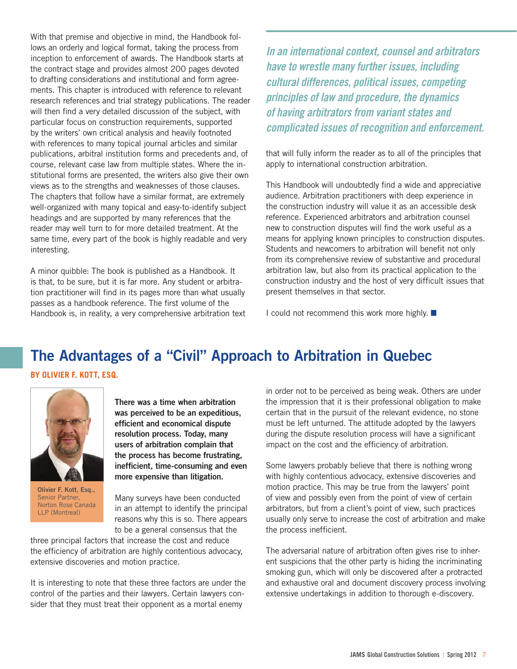<span id="page-6-0"></span>With that premise and objective in mind, the Handbook follows an orderly and logical format, taking the process from inception to enforcement of awards. The Handbook starts at the contract stage and provides almost 200 pages devoted to drafting considerations and institutional and form agreements. This chapter is introduced with reference to relevant research references and trial strategy publications. The reader will then find a very detailed discussion of the subject, with particular focus on construction requirements, supported by the writers' own critical analysis and heavily footnoted with references to many topical journal articles and similar publications, arbitral institution forms and precedents and, of course, relevant case law from multiple states. Where the institutional forms are presented, the writers also give their own views as to the strengths and weaknesses of those clauses. The chapters that follow have a similar format, are extremely well-organized with many topical and easy-to-identify subject headings and are supported by many references that the reader may well turn to for more detailed treatment. At the same time, every part of the book is highly readable and very interesting.

A minor quibble: The book is published as a Handbook. It is that, to be sure, but it is far more. Any student or arbitration practitioner will find in its pages more than what usually passes as a handbook reference. The first volume of the Handbook is, in reality, a very comprehensive arbitration text

*In an international context, counsel and arbitrators have to wrestle many further issues, including cultural differences, political issues, competing principles of law and procedure, the dynamics of having arbitrators from variant states and complicated issues of recognition and enforcement.* 

that will fully inform the reader as to all of the principles that apply to international construction arbitration.

This Handbook will undoubtedly find a wide and appreciative audience. Arbitration practitioners with deep experience in the construction industry will value it as an accessible desk reference. Experienced arbitrators and arbitration counsel new to construction disputes will find the work useful as a means for applying known principles to construction disputes. Students and newcomers to arbitration will benefit not only from its comprehensive review of substantive and procedural arbitration law, but also from its practical application to the construction industry and the host of very difficult issues that present themselves in that sector.

I could not recommend this work more highly.

# The Advantages of a "Civil" Approach to Arbitration in Quebec

**by Olivier F. Kott, Esq.**



Olivier F. Kott, Esq., Senior Partner, Norton Rose Canada LLP (Montreal)

There was a time when arbitration was perceived to be an expeditious, efficient and economical dispute resolution process. Today, many users of arbitration complain that the process has become frustrating, inefficient, time-consuming and even more expensive than litigation.

Many surveys have been conducted in an attempt to identify the principal reasons why this is so. There appears to be a general consensus that the

three principal factors that increase the cost and reduce the efficiency of arbitration are highly contentious advocacy, extensive discoveries and motion practice.

It is interesting to note that these three factors are under the control of the parties and their lawyers. Certain lawyers consider that they must treat their opponent as a mortal enemy

in order not to be perceived as being weak. Others are under the impression that it is their professional obligation to make certain that in the pursuit of the relevant evidence, no stone must be left unturned. The attitude adopted by the lawyers during the dispute resolution process will have a significant impact on the cost and the efficiency of arbitration.

Some lawyers probably believe that there is nothing wrong with highly contentious advocacy, extensive discoveries and motion practice. This may be true from the lawyers' point of view and possibly even from the point of view of certain arbitrators, but from a client's point of view, such practices usually only serve to increase the cost of arbitration and make the process inefficient.

The adversarial nature of arbitration often gives rise to inherent suspicions that the other party is hiding the incriminating smoking gun, which will only be discovered after a protracted and exhaustive oral and document discovery process involving extensive undertakings in addition to thorough e-discovery.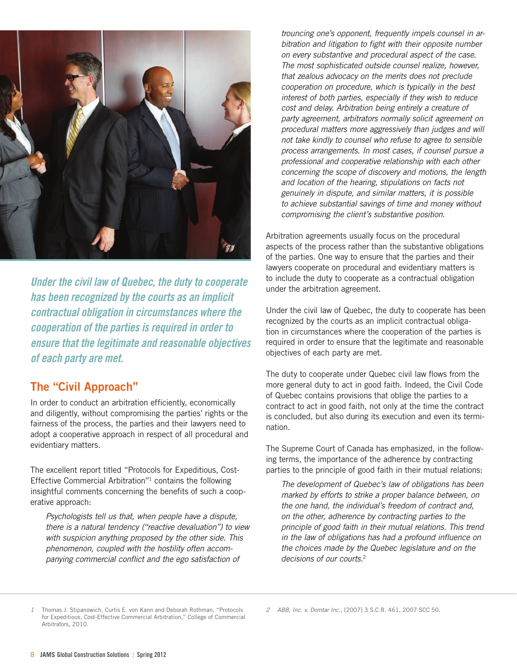

*Under the civil law of Quebec, the duty to cooperate has been recognized by the courts as an implicit contractual obligation in circumstances where the cooperation of the parties is required in order to ensure that the legitimate and reasonable objectives of each party are met.*

#### The "Civil Approach"

In order to conduct an arbitration efficiently, economically and diligently, without compromising the parties' rights or the fairness of the process, the parties and their lawyers need to adopt a cooperative approach in respect of all procedural and evidentiary matters.

The excellent report titled "Protocols for Expeditious, Cost-Effective Commercial Arbitration"1 contains the following insightful comments concerning the benefits of such a cooperative approach:

*Psychologists tell us that, when people have a dispute, there is a natural tendency ("reactive devaluation") to view with suspicion anything proposed by the other side. This phenomenon, coupled with the hostility often accompanying commercial conflict and the ego satisfaction of* 

*trouncing one's opponent, frequently impels counsel in arbitration and litigation to fight with their opposite number on every substantive and procedural aspect of the case. The most sophisticated outside counsel realize, however, that zealous advocacy on the merits does not preclude cooperation on procedure, which is typically in the best interest of both parties, especially if they wish to reduce cost and delay. Arbitration being entirely a creature of party agreement, arbitrators normally solicit agreement on procedural matters more aggressively than judges and will not take kindly to counsel who refuse to agree to sensible process arrangements. In most cases, if counsel pursue a professional and cooperative relationship with each other concerning the scope of discovery and motions, the length and location of the hearing, stipulations on facts not genuinely in dispute, and similar matters, it is possible to achieve substantial savings of time and money without compromising the client's substantive position.* 

Arbitration agreements usually focus on the procedural aspects of the process rather than the substantive obligations of the parties. One way to ensure that the parties and their lawyers cooperate on procedural and evidentiary matters is to include the duty to cooperate as a contractual obligation under the arbitration agreement.

Under the civil law of Quebec, the duty to cooperate has been recognized by the courts as an implicit contractual obligation in circumstances where the cooperation of the parties is required in order to ensure that the legitimate and reasonable objectives of each party are met.

The duty to cooperate under Quebec civil law flows from the more general duty to act in good faith. Indeed, the Civil Code of Quebec contains provisions that oblige the parties to a contract to act in good faith, not only at the time the contract is concluded, but also during its execution and even its termination.

The Supreme Court of Canada has emphasized, in the following terms, the importance of the adherence by contracting parties to the principle of good faith in their mutual relations:

*The development of Quebec's law of obligations has been marked by efforts to strike a proper balance between, on the one hand, the individual's freedom of contract and, on the other, adherence by contracting parties to the principle of good faith in their mutual relations. This trend in the law of obligations has had a profound influence on the choices made by the Quebec legislature and on the decisions of our courts.*<sup>2</sup>

*<sup>1</sup>* Thomas J. Stipanowich, Curtis E. von Kann and Deborah Rothman, "Protocols for Expeditious, Cost-Effective Commercial Arbitration," College of Commercial Arbitrators, 2010.

*<sup>2</sup> ABB, Inc. v. Domtar Inc.,* [2007] 3 S.C.R. 461, 2007 SCC 50.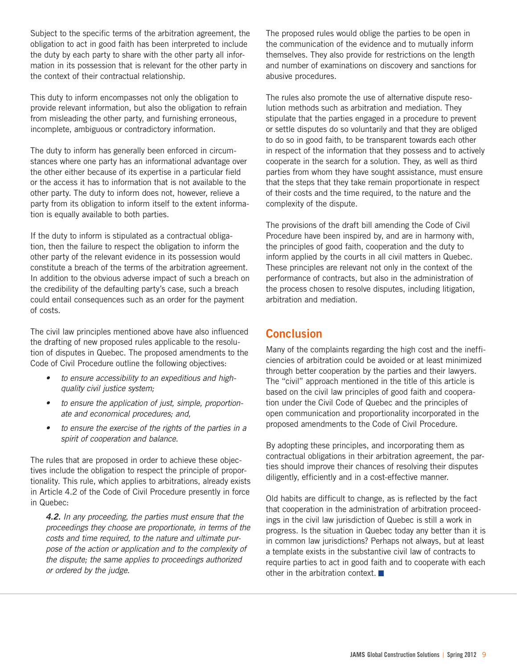Subject to the specific terms of the arbitration agreement, the obligation to act in good faith has been interpreted to include the duty by each party to share with the other party all information in its possession that is relevant for the other party in the context of their contractual relationship.

This duty to inform encompasses not only the obligation to provide relevant information, but also the obligation to refrain from misleading the other party, and furnishing erroneous, incomplete, ambiguous or contradictory information.

The duty to inform has generally been enforced in circumstances where one party has an informational advantage over the other either because of its expertise in a particular field or the access it has to information that is not available to the other party. The duty to inform does not, however, relieve a party from its obligation to inform itself to the extent information is equally available to both parties.

If the duty to inform is stipulated as a contractual obligation, then the failure to respect the obligation to inform the other party of the relevant evidence in its possession would constitute a breach of the terms of the arbitration agreement. In addition to the obvious adverse impact of such a breach on the credibility of the defaulting party's case, such a breach could entail consequences such as an order for the payment of costs.

The civil law principles mentioned above have also influenced the drafting of new proposed rules applicable to the resolution of disputes in Quebec. The proposed amendments to the Code of Civil Procedure outline the following objectives:

- • *to ensure accessibility to an expeditious and highquality civil justice system;*
- to ensure the application of just, simple, proportion*ate and economical procedures; and,*
- to ensure the exercise of the rights of the parties in a *spirit of cooperation and balance.*

The rules that are proposed in order to achieve these objectives include the obligation to respect the principle of proportionality. This rule, which applies to arbitrations, already exists in Article 4.2 of the Code of Civil Procedure presently in force in Quebec:

*4.2. In any proceeding, the parties must ensure that the proceedings they choose are proportionate, in terms of the costs and time required, to the nature and ultimate purpose of the action or application and to the complexity of the dispute; the same applies to proceedings authorized or ordered by the judge.*

The proposed rules would oblige the parties to be open in the communication of the evidence and to mutually inform themselves. They also provide for restrictions on the length and number of examinations on discovery and sanctions for abusive procedures.

The rules also promote the use of alternative dispute resolution methods such as arbitration and mediation. They stipulate that the parties engaged in a procedure to prevent or settle disputes do so voluntarily and that they are obliged to do so in good faith, to be transparent towards each other in respect of the information that they possess and to actively cooperate in the search for a solution. They, as well as third parties from whom they have sought assistance, must ensure that the steps that they take remain proportionate in respect of their costs and the time required, to the nature and the complexity of the dispute.

The provisions of the draft bill amending the Code of Civil Procedure have been inspired by, and are in harmony with, the principles of good faith, cooperation and the duty to inform applied by the courts in all civil matters in Quebec. These principles are relevant not only in the context of the performance of contracts, but also in the administration of the process chosen to resolve disputes, including litigation, arbitration and mediation.

### **Conclusion**

Many of the complaints regarding the high cost and the inefficiencies of arbitration could be avoided or at least minimized through better cooperation by the parties and their lawyers. The "civil" approach mentioned in the title of this article is based on the civil law principles of good faith and cooperation under the Civil Code of Quebec and the principles of open communication and proportionality incorporated in the proposed amendments to the Code of Civil Procedure.

By adopting these principles, and incorporating them as contractual obligations in their arbitration agreement, the parties should improve their chances of resolving their disputes diligently, efficiently and in a cost-effective manner.

Old habits are difficult to change, as is reflected by the fact that cooperation in the administration of arbitration proceedings in the civil law jurisdiction of Quebec is still a work in progress. Is the situation in Quebec today any better than it is in common law jurisdictions? Perhaps not always, but at least a template exists in the substantive civil law of contracts to require parties to act in good faith and to cooperate with each other in the arbitration context.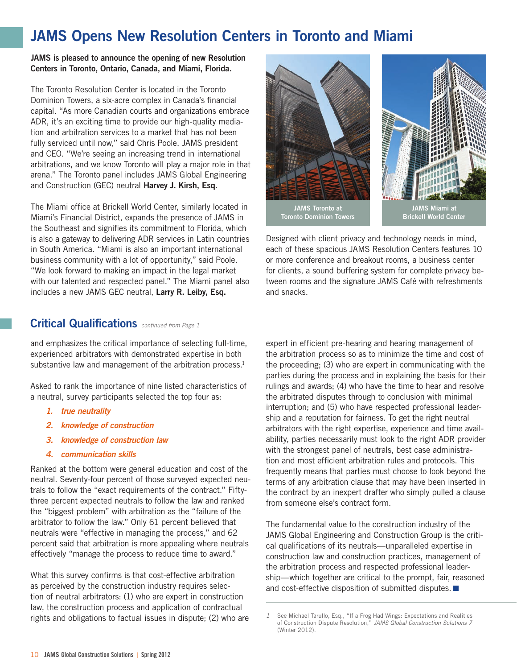# <span id="page-9-0"></span>JAMS Opens New Resolution Centers in Toronto and Miami

#### JAMS is pleased to announce the opening of new Resolution Centers in Toronto, Ontario, Canada, and Miami, Florida.

The Toronto Resolution Center is located in the Toronto Dominion Towers, a six-acre complex in Canada's financial capital. "As more Canadian courts and organizations embrace ADR, it's an exciting time to provide our high-quality mediation and arbitration services to a market that has not been fully serviced until now," said Chris Poole, JAMS president and CEO. "We're seeing an increasing trend in international arbitrations, and we know Toronto will play a major role in that arena." The Toronto panel includes JAMS Global Engineering and Construction (GEC) neutral Harvey J. Kirsh, Esq.

The Miami office at Brickell World Center, similarly located in Miami's Financial District, expands the presence of JAMS in the Southeast and signifies its commitment to Florida, which is also a gateway to delivering ADR services in Latin countries in South America. "Miami is also an important international business community with a lot of opportunity," said Poole. "We look forward to making an impact in the legal market with our talented and respected panel." The Miami panel also includes a new JAMS GEC neutral, Larry R. Leiby, Esq.

#### Critical Qualifications *continued from Page 1*

and emphasizes the critical importance of selecting full-time, experienced arbitrators with demonstrated expertise in both substantive law and management of the arbitration process. $1$ 

Asked to rank the importance of nine listed characteristics of a neutral, survey participants selected the top four as:

- *1. true neutrality*
- *2. knowledge of construction*
- *3. knowledge of construction law*
- *4. communication skills*

Ranked at the bottom were general education and cost of the neutral. Seventy-four percent of those surveyed expected neutrals to follow the "exact requirements of the contract." Fiftythree percent expected neutrals to follow the law and ranked the "biggest problem" with arbitration as the "failure of the arbitrator to follow the law." Only 61 percent believed that neutrals were "effective in managing the process," and 62 percent said that arbitration is more appealing where neutrals effectively "manage the process to reduce time to award."

What this survey confirms is that cost-effective arbitration as perceived by the construction industry requires selection of neutral arbitrators: (1) who are expert in construction law, the construction process and application of contractual rights and obligations to factual issues in dispute; (2) who are



Designed with client privacy and technology needs in mind, each of these spacious JAMS Resolution Centers features 10 or more conference and breakout rooms, a business center for clients, a sound buffering system for complete privacy between rooms and the signature JAMS Café with refreshments and snacks.

expert in efficient pre-hearing and hearing management of the arbitration process so as to minimize the time and cost of the proceeding; (3) who are expert in communicating with the parties during the process and in explaining the basis for their rulings and awards; (4) who have the time to hear and resolve the arbitrated disputes through to conclusion with minimal interruption; and (5) who have respected professional leadership and a reputation for fairness. To get the right neutral arbitrators with the right expertise, experience and time availability, parties necessarily must look to the right ADR provider with the strongest panel of neutrals, best case administration and most efficient arbitration rules and protocols. This frequently means that parties must choose to look beyond the terms of any arbitration clause that may have been inserted in the contract by an inexpert drafter who simply pulled a clause from someone else's contract form.

The fundamental value to the construction industry of the JAMS Global Engineering and Construction Group is the critical qualifications of its neutrals—unparalleled expertise in construction law and construction practices, management of the arbitration process and respected professional leadership—which together are critical to the prompt, fair, reasoned and cost-effective disposition of submitted disputes.

*<sup>1</sup>* See Michael Tarullo, Esq., "If a Frog Had Wings: Expectations and Realities of Construction Dispute Resolution," *JAMS Global Construction Solutions 7* (Winter 2012).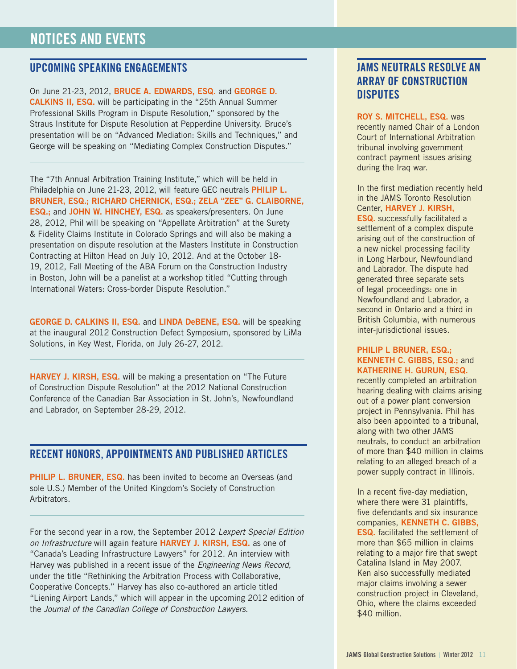#### <span id="page-10-0"></span>UPCOMING SPEAKING ENGAGEMENTS

On June 21-23, 2012, BRUCE A. EDWARDS, ESQ. and GEORGE D. **CALKINS II, ESQ.** will be participating in the "25th Annual Summer Professional Skills Program in Dispute Resolution," sponsored by the Straus Institute for Dispute Resolution at Pepperdine University. Bruce's presentation will be on "Advanced Mediation: Skills and Techniques," and George will be speaking on "Mediating Complex Construction Disputes."

The "7th Annual Arbitration Training Institute," which will be held in Philadelphia on June 21-23, 2012, will feature GEC neutrals PHILIP L. BRUNER, ESQ.; RICHARD CHERNICK, ESQ.; ZELA "ZEE" G. CLAIBORNE, **ESQ.; and JOHN W. HINCHEY, ESQ. as speakers/presenters. On June** 28, 2012, Phil will be speaking on "Appellate Arbitration" at the Surety & Fidelity Claims Institute in Colorado Springs and will also be making a presentation on dispute resolution at the Masters Institute in Construction Contracting at Hilton Head on July 10, 2012. And at the October 18- 19, 2012, Fall Meeting of the ABA Forum on the Construction Industry in Boston, John will be a panelist at a workshop titled "Cutting through International Waters: Cross-border Dispute Resolution."

GEORGE D. CALKINS II, ESQ. and LINDA DeBENE, ESQ. will be speaking at the inaugural 2012 Construction Defect Symposium, sponsored by LiMa Solutions, in Key West, Florida, on July 26-27, 2012.

HARVEY J. KIRSH, ESQ. will be making a presentation on "The Future" of Construction Dispute Resolution" at the 2012 National Construction Conference of the Canadian Bar Association in St. John's, Newfoundland and Labrador, on September 28-29, 2012.

#### Recent Honors , Appointments and published articles

**PHILIP L. BRUNER, ESQ.** has been invited to become an Overseas (and sole U.S.) Member of the United Kingdom's Society of Construction Arbitrators.

For the second year in a row, the September 2012 *Lexpert Special Edition*  on Infrastructure will again feature HARVEY J. KIRSH, ESQ. as one of "Canada's Leading Infrastructure Lawyers" for 2012. An interview with Harvey was published in a recent issue of the *Engineering News Record*, under the title "Rethinking the Arbitration Process with Collaborative, Cooperative Concepts." Harvey has also co-authored an article titled "Liening Airport Lands," which will appear in the upcoming 2012 edition of the *Journal of the Canadian College of Construction Lawyers.*

## JAMS Neutrals Resolve an Array of Construction **DISPUTES**

ROY S. MITCHELL, ESQ. was recently named Chair of a London Court of International Arbitration tribunal involving government contract payment issues arising during the Iraq war.

In the first mediation recently held in the JAMS Toronto Resolution Center, HARVEY J. KIRSH,

Esq. successfully facilitated a settlement of a complex dispute arising out of the construction of a new nickel processing facility in Long Harbour, Newfoundland and Labrador. The dispute had generated three separate sets of legal proceedings: one in Newfoundland and Labrador, a second in Ontario and a third in British Columbia, with numerous inter-jurisdictional issues.

#### PHILIP L BRUNER, ESQ.: KENNETH C. GIBBS, ESQ.; and KATHERINE H. GURUN, ESQ.

recently completed an arbitration hearing dealing with claims arising out of a power plant conversion project in Pennsylvania. Phil has also been appointed to a tribunal, along with two other JAMS neutrals, to conduct an arbitration of more than \$40 million in claims relating to an alleged breach of a power supply contract in Illinois.

In a recent five-day mediation, where there were 31 plaintiffs, five defendants and six insurance companies, KENNETH C. GIBBS, Esq. facilitated the settlement of more than \$65 million in claims relating to a major fire that swept Catalina Island in May 2007. Ken also successfully mediated major claims involving a sewer construction project in Cleveland, Ohio, where the claims exceeded \$40 million.